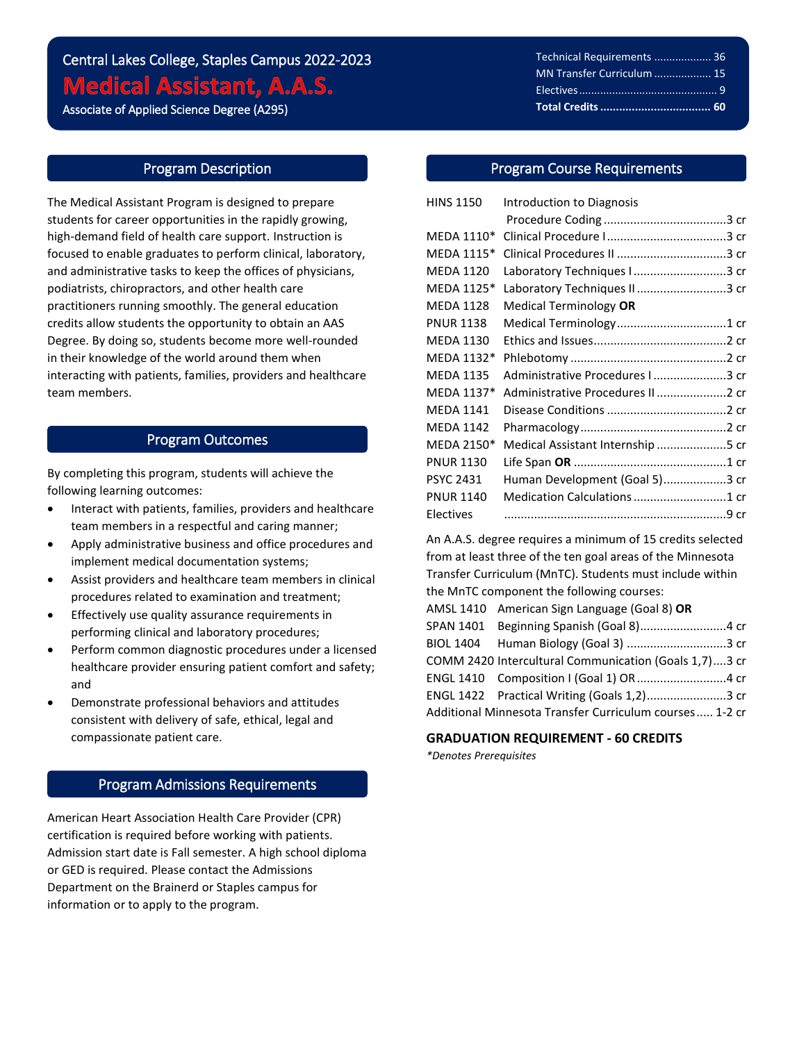# Central Lakes College, Staples Campus 2022-2023 **Medical Assistant, A.A.S.**

Associate of Applied Science Degree (A295)

i<br>L

# Program Description

The Medical Assistant Program is designed to prepare students for career opportunities in the rapidly growing, high-demand field of health care support. Instruction is focused to enable graduates to perform clinical, laboratory, and administrative tasks to keep the offices of physicians, podiatrists, chiropractors, and other health care practitioners running smoothly. The general education credits allow students the opportunity to obtain an AAS Degree. By doing so, students become more well-rounded in their knowledge of the world around them when interacting with patients, families, providers and healthcare team members.

# Program Outcomes

By completing this program, students will achieve the following learning outcomes:

- Interact with patients, families, providers and healthcare team members in a respectful and caring manner;
- Apply administrative business and office procedures and implement medical documentation systems;
- Assist providers and healthcare team members in clinical procedures related to examination and treatment;
- Effectively use quality assurance requirements in performing clinical and laboratory procedures;
- Perform common diagnostic procedures under a licensed healthcare provider ensuring patient comfort and safety; and
- Demonstrate professional behaviors and attitudes consistent with delivery of safe, ethical, legal and compassionate patient care.

# Program Admissions Requirements

American Heart Association Health Care Provider (CPR) certification is required before working with patients. Admission start date is Fall semester. A high school diploma or GED is required. Please contact the Admissions Department on the Brainerd or Staples campus for information or to apply to the program.

| Technical Requirements  36 |
|----------------------------|
| MN Transfer Curriculum  15 |
|                            |
|                            |

# Program Course Requirements

֦֘

| <b>HINS 1150</b> | Introduction to Diagnosis         |  |
|------------------|-----------------------------------|--|
|                  |                                   |  |
| MEDA 1110*       |                                   |  |
| MEDA 1115*       |                                   |  |
| <b>MEDA 1120</b> | Laboratory Techniques I 3 cr      |  |
| MEDA 1125*       | Laboratory Techniques II3 cr      |  |
| <b>MEDA 1128</b> | Medical Terminology OR            |  |
| <b>PNUR 1138</b> |                                   |  |
| <b>MEDA 1130</b> |                                   |  |
| MEDA 1132*       |                                   |  |
| <b>MEDA 1135</b> | Administrative Procedures I 3 cr  |  |
| MEDA 1137*       | Administrative Procedures II 2 cr |  |
| <b>MEDA 1141</b> |                                   |  |
| <b>MEDA 1142</b> |                                   |  |
| MEDA 2150*       | Medical Assistant Internship 5 cr |  |
| <b>PNUR 1130</b> |                                   |  |
| <b>PSYC 2431</b> | Human Development (Goal 5)3 cr    |  |
| <b>PNUR 1140</b> | Medication Calculations 1 cr      |  |
| Electives        |                                   |  |

An A.A.S. degree requires a minimum of 15 credits selected from at least three of the ten goal areas of the Minnesota Transfer Curriculum (MnTC). Students must include within the MnTC component the following courses: AMSL 1410 American Sign Language (Goal 8) **OR** SPAN 1401 Beginning Spanish (Goal 8)..........................4 cr BIOL 1404 Human Biology (Goal 3) ..............................3 cr COMM 2420 Intercultural Communication (Goals 1,7)....3 cr ENGL 1410 Composition I (Goal 1) OR...........................4 cr ENGL 1422 Practical Writing (Goals 1,2)........................3 cr Additional Minnesota Transfer Curriculum courses..... 1-2 cr

# **GRADUATION REQUIREMENT - 60 CREDITS**

*\*Denotes Prerequisites*